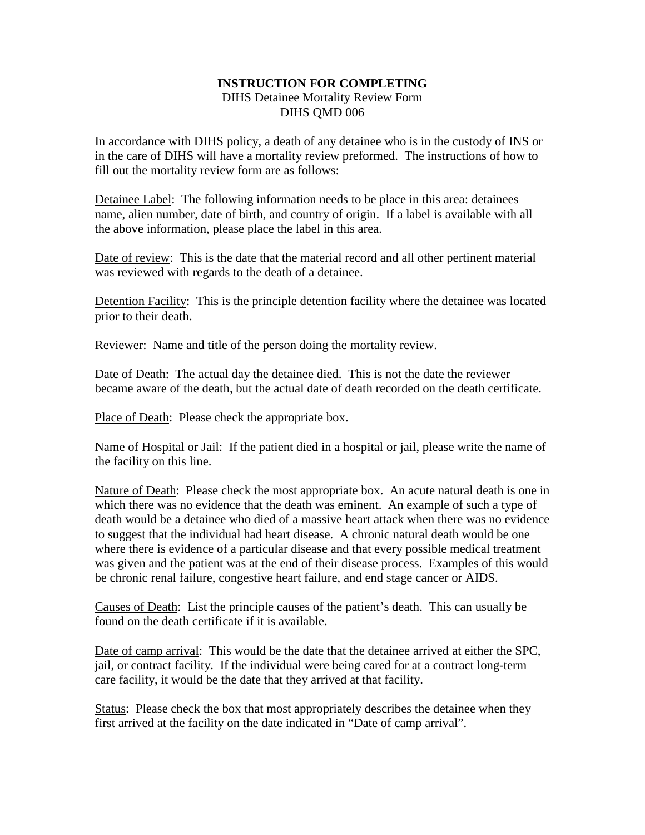## **INSTRUCTION FOR COMPLETING** DIHS Detainee Mortality Review Form DIHS QMD 006

In accordance with DIHS policy, a death of any detainee who is in the custody of INS or in the care of DIHS will have a mortality review preformed. The instructions of how to fill out the mortality review form are as follows:

Detainee Label: The following information needs to be place in this area: detainees name, alien number, date of birth, and country of origin. If a label is available with all the above information, please place the label in this area.

Date of review: This is the date that the material record and all other pertinent material was reviewed with regards to the death of a detainee.

Detention Facility: This is the principle detention facility where the detainee was located prior to their death.

Reviewer: Name and title of the person doing the mortality review.

Date of Death: The actual day the detainee died. This is not the date the reviewer became aware of the death, but the actual date of death recorded on the death certificate.

Place of Death: Please check the appropriate box.

Name of Hospital or Jail: If the patient died in a hospital or jail, please write the name of the facility on this line.

Nature of Death: Please check the most appropriate box. An acute natural death is one in which there was no evidence that the death was eminent. An example of such a type of death would be a detainee who died of a massive heart attack when there was no evidence to suggest that the individual had heart disease. A chronic natural death would be one where there is evidence of a particular disease and that every possible medical treatment was given and the patient was at the end of their disease process. Examples of this would be chronic renal failure, congestive heart failure, and end stage cancer or AIDS.

Causes of Death: List the principle causes of the patient's death. This can usually be found on the death certificate if it is available.

Date of camp arrival: This would be the date that the detainee arrived at either the SPC, jail, or contract facility. If the individual were being cared for at a contract long-term care facility, it would be the date that they arrived at that facility.

Status: Please check the box that most appropriately describes the detainee when they first arrived at the facility on the date indicated in "Date of camp arrival".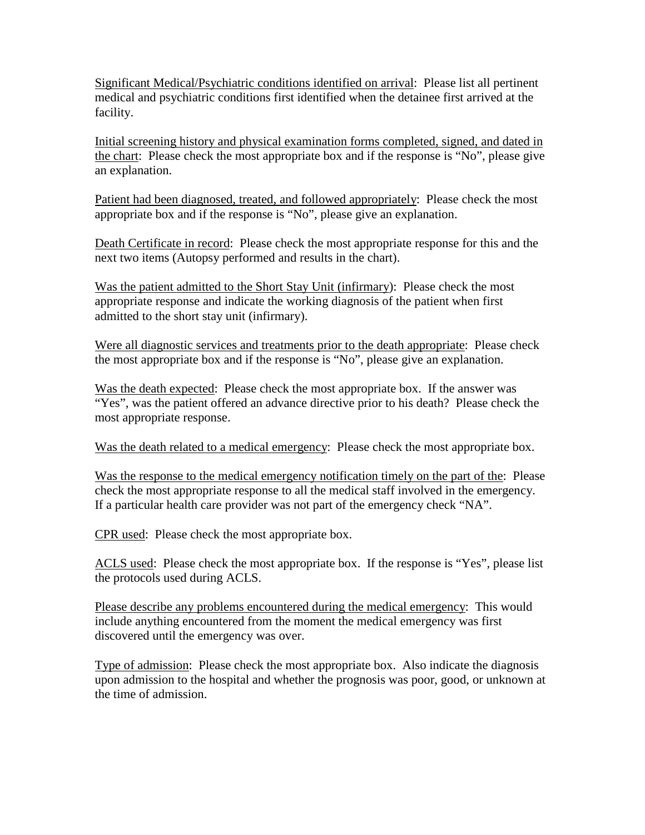Significant Medical/Psychiatric conditions identified on arrival: Please list all pertinent medical and psychiatric conditions first identified when the detainee first arrived at the facility.

Initial screening history and physical examination forms completed, signed, and dated in the chart: Please check the most appropriate box and if the response is "No", please give an explanation.

Patient had been diagnosed, treated, and followed appropriately: Please check the most appropriate box and if the response is "No", please give an explanation.

Death Certificate in record: Please check the most appropriate response for this and the next two items (Autopsy performed and results in the chart).

Was the patient admitted to the Short Stay Unit (infirmary): Please check the most appropriate response and indicate the working diagnosis of the patient when first admitted to the short stay unit (infirmary).

Were all diagnostic services and treatments prior to the death appropriate: Please check the most appropriate box and if the response is "No", please give an explanation.

Was the death expected: Please check the most appropriate box. If the answer was "Yes", was the patient offered an advance directive prior to his death? Please check the most appropriate response.

Was the death related to a medical emergency: Please check the most appropriate box.

Was the response to the medical emergency notification timely on the part of the: Please check the most appropriate response to all the medical staff involved in the emergency. If a particular health care provider was not part of the emergency check "NA".

CPR used: Please check the most appropriate box.

ACLS used: Please check the most appropriate box. If the response is "Yes", please list the protocols used during ACLS.

Please describe any problems encountered during the medical emergency: This would include anything encountered from the moment the medical emergency was first discovered until the emergency was over.

Type of admission: Please check the most appropriate box. Also indicate the diagnosis upon admission to the hospital and whether the prognosis was poor, good, or unknown at the time of admission.